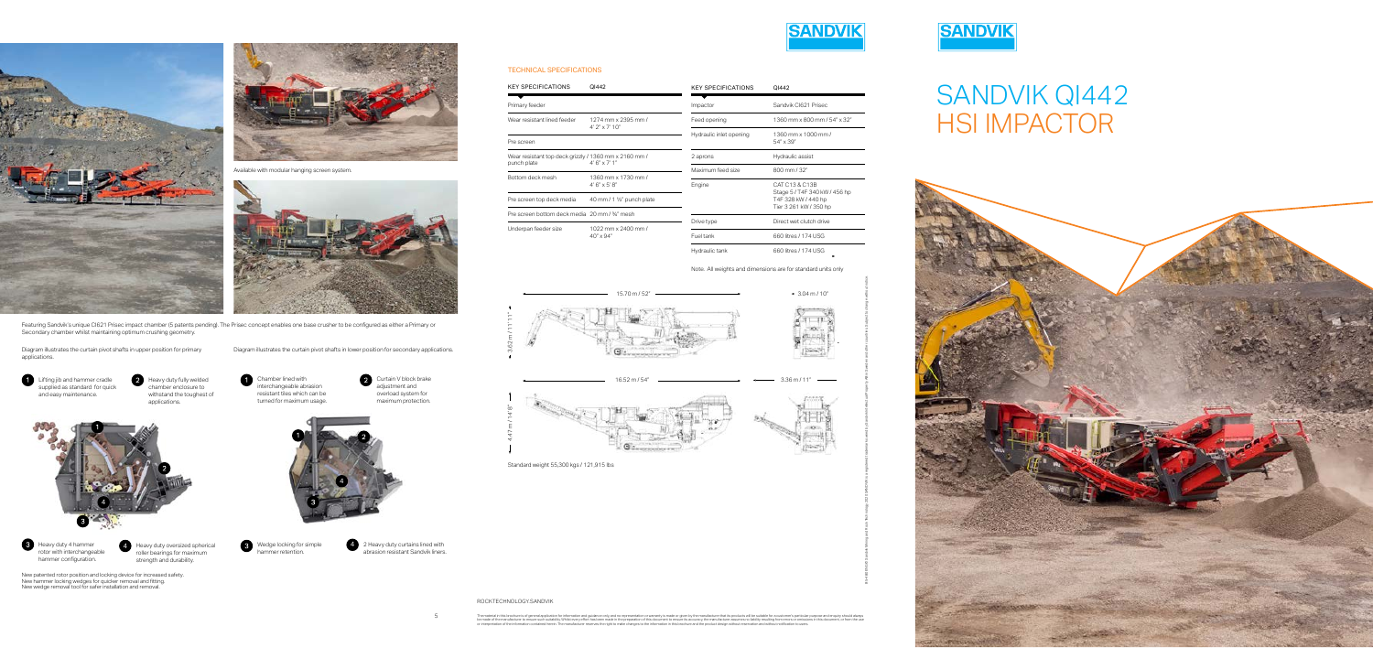5



B5-480 ENG © Sandvik Mining and Rock Technology 2020 SANDVIK is a registered trademark owned by Sandvik Intellectual Property AB in Sweden and other countries. Subject to change without notice.

**8** Heavy duty 4 hammer rotor with interchangeable hammer configuration.



Heavy duty fully welded chamber enclosure to withstand the toughest of applications.

> Wedge locking for simple hammer retention.

Chamber lined with





2 Heavy duty curtains lined with 4 abrasion resistant Sandvik liners.

Heavy duty oversized spherical roller bearings for maximum strength and durability. 4

# SANDVIK QI442 HSI IMPACTOR







Available with modular hanging screen system.



Featuring Sandvik's unique CI621 Prisec impact chamber (5 patents pending). The Prisec concept enables one base crusher to be configured as either a Primary or Secondary chamber whilst maintaining optimum crushing geometry.

Diagram illustrates the curtain pivot shafts in upper position for primary applications.

Diagram illustrates the curtain pivot shafts in lower position for secondary applications.

### TECHNICAL SPECIFICATIONS

ROCKTECHNOLOGY.SANDVIK

The material in this brochure is of general application for information and guidance only, and no representation or warranty is made or given by the manufacturer that its products will be suitable for a customer's particul







Note. All weights and dimensions are for standard units only



| <b>KEY SPECIFICATIONS</b>                                            | QI442                                        | <b>KEY SPECIFICATIONS</b>                          | QI442                            |
|----------------------------------------------------------------------|----------------------------------------------|----------------------------------------------------|----------------------------------|
| Primary feeder                                                       |                                              | Impactor                                           | Sandvik CI621 Prisec             |
| Wear resistant lined feeder                                          | 1274 mm x 2395 mm /<br>$4'2'' \times 7'10''$ | Feed opening                                       | 1360 mm x 800 mm / 54" x 32"     |
| Pre screen                                                           |                                              | Hydraulic inlet opening                            | 1360 mm x 1000 mm /<br>54" x 39" |
| Wear resistant top deck grizzly / 1360 mm x 2160 mm /<br>punch plate | $4'6'' \times 7'1''$                         | Hydraulic assist<br>2 aprons                       |                                  |
|                                                                      |                                              | Maximum feed size                                  | $800 \,\mathrm{mm}$ / 32"        |
| Bottom deck mesh                                                     | 1360 mm x 1730 mm /<br>$4'6'' \times 5'8''$  | Engine                                             | CAT C13 & C13B                   |
| Pre screen top deck media                                            | 40 mm / 1 1/2" punch plate                   | Stage 5/T4F 340 kW / 456 hp<br>T4F 328 kW / 440 hp |                                  |
| Pre screen bottom deck media 20 mm / 3/4" mesh                       |                                              |                                                    | Tier 3 261 kW / 350 hp           |
| Underpan feeder size                                                 |                                              | Drive type                                         | Direct wet clutch drive          |
|                                                                      | 1022 mm x 2400 mm /<br>$40'' \times 94''$    | Fuel tank                                          | 660 litres / 174 USG             |
|                                                                      |                                              | Hydraulic tank                                     | 660 litres / 174 USG             |



New patented rotor position and locking device for increased safety. New hammer locking wedges for quicker removal and fitting. New wedge removal tool for safer installation and removal.